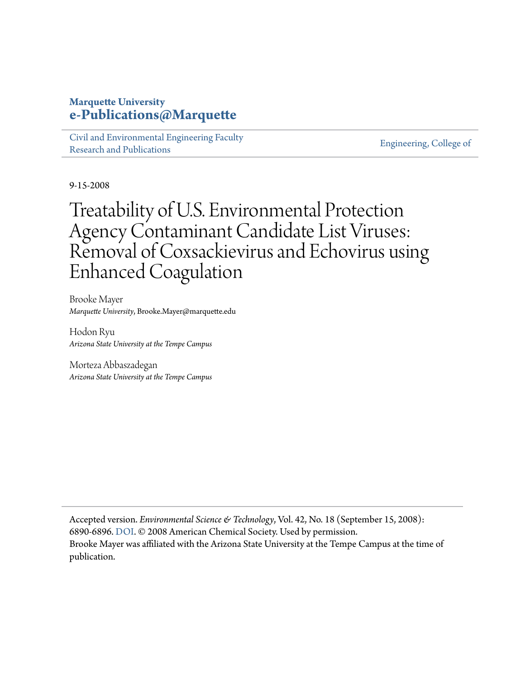#### **Marquette University [e-Publications@Marquette](http://epublications.marquette.edu)**

[Civil and Environmental Engineering Faculty](http://epublications.marquette.edu/civengin_fac) [Research and Publications](http://epublications.marquette.edu/civengin_fac)

[Engineering, College of](http://epublications.marquette.edu/engineering)

9-15-2008

## Treatability of U.S. Environmental Protection Agency Contaminant Candidate List Viruses: Removal of Coxsackievirus and Echovirus using Enhanced Coagulation

Brooke Mayer *Marquette University*, Brooke.Mayer@marquette.edu

Hodon Ryu *Arizona State University at the Tempe Campus*

Morteza Abbaszadegan *Arizona State University at the Tempe Campus*

Accepted version. *Environmental Science & Technology*, Vol. 42, No. 18 (September 15, 2008): 6890-6896. [DOI](http://dx.doi.org/10.1021/es801481s). © 2008 American Chemical Society. Used by permission. Brooke Mayer was affiliated with the Arizona State University at the Tempe Campus at the time of publication.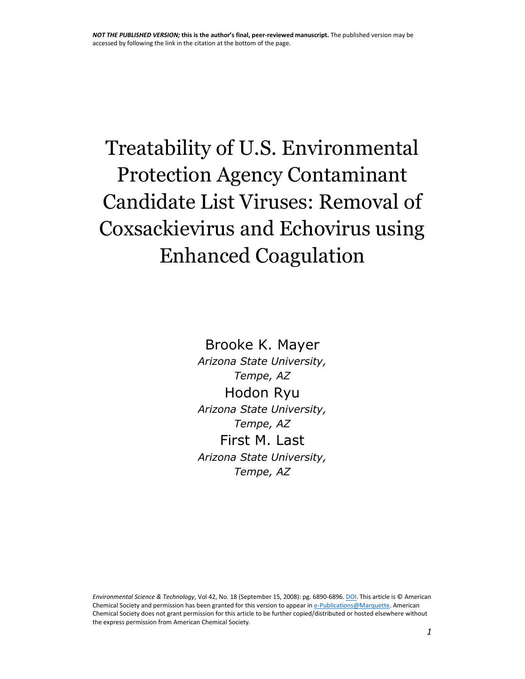# Treatability of U.S. Environmental Protection Agency Contaminant Candidate List Viruses: Removal of Coxsackievirus and Echovirus using Enhanced Coagulation

Brooke K. Mayer *Arizona State University, Tempe, AZ*  Hodon Ryu *Arizona State University, Tempe, AZ*  First M. Last *Arizona State University, Tempe, AZ*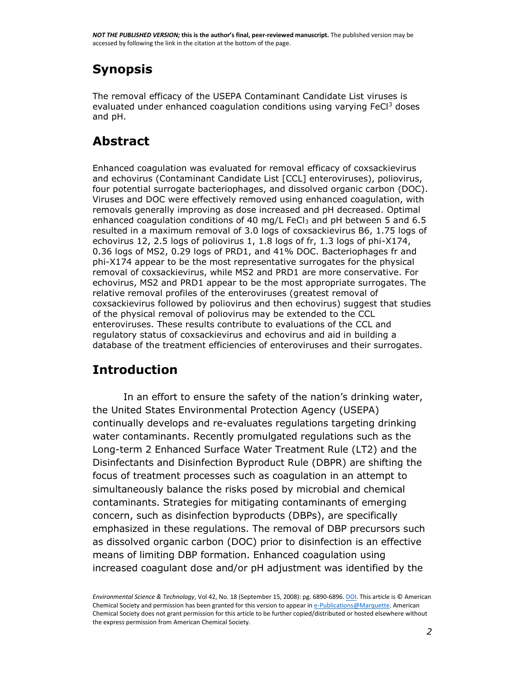## **Synopsis**

The removal efficacy of the USEPA Contaminant Candidate List viruses is evaluated under enhanced coagulation conditions using varying  $FeCl<sup>3</sup>$  doses and pH.

## **Abstract**

Enhanced coagulation was evaluated for removal efficacy of coxsackievirus and echovirus (Contaminant Candidate List [CCL] enteroviruses), poliovirus, four potential surrogate bacteriophages, and dissolved organic carbon (DOC). Viruses and DOC were effectively removed using enhanced coagulation, with removals generally improving as dose increased and pH decreased. Optimal enhanced coagulation conditions of 40 mg/L FeCl $_3$  and pH between 5 and 6.5 resulted in a maximum removal of 3.0 logs of coxsackievirus B6, 1.75 logs of echovirus 12, 2.5 logs of poliovirus 1, 1.8 logs of fr, 1.3 logs of phi-X174, 0.36 logs of MS2, 0.29 logs of PRD1, and 41% DOC. Bacteriophages fr and phi-X174 appear to be the most representative surrogates for the physical removal of coxsackievirus, while MS2 and PRD1 are more conservative. For echovirus, MS2 and PRD1 appear to be the most appropriate surrogates. The relative removal profiles of the enteroviruses (greatest removal of coxsackievirus followed by poliovirus and then echovirus) suggest that studies of the physical removal of poliovirus may be extended to the CCL enteroviruses. These results contribute to evaluations of the CCL and regulatory status of coxsackievirus and echovirus and aid in building a database of the treatment efficiencies of enteroviruses and their surrogates.

## **Introduction**

In an effort to ensure the safety of the nation's drinking water, the United States Environmental Protection Agency (USEPA) continually develops and re-evaluates regulations targeting drinking water contaminants. Recently promulgated regulations such as the Long-term 2 Enhanced Surface Water Treatment Rule (LT2) and the Disinfectants and Disinfection Byproduct Rule (DBPR) are shifting the focus of treatment processes such as coagulation in an attempt to simultaneously balance the risks posed by microbial and chemical contaminants. Strategies for mitigating contaminants of emerging concern, such as disinfection byproducts (DBPs), are specifically emphasized in these regulations. The removal of DBP precursors such as dissolved organic carbon (DOC) prior to disinfection is an effective means of limiting DBP formation. Enhanced coagulation using increased coagulant dose and/or pH adjustment was identified by the

*Environmental Science & Technology*, Vol 42, No. 18 (September 15, 2008): pg. 6890-6896. [DOI.](http://dx.doi.org/10.1021/es801481s) This article is © American Chemical Society and permission has been granted for this version to appear i[n e-Publications@Marquette.](http://epublications.marquette.edu/) American Chemical Society does not grant permission for this article to be further copied/distributed or hosted elsewhere without the express permission from American Chemical Society.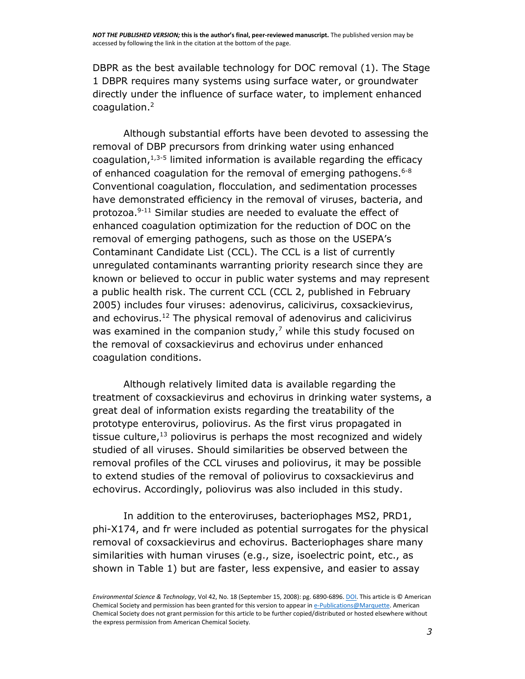DBPR as the best available technology for DOC removal [\(1\).](javascript:void(0);) The Stage 1 DBPR requires many systems using surface water, or groundwater directly under the influence of surface water, to implement enhanced coagulation. [2](javascript:void(0);)

Although substantial efforts have been devoted to assessing the removal of DBP precursors from drinking water using enhanced coagulation, $1,3-5$  limited information is available regarding the efficacy of enhanced coagulation for the removal of emerging pathogens.<sup>[6-8](javascript:void(0);)</sup> Conventional coagulation, flocculation, and sedimentation processes have demonstrated efficiency in the removal of viruses, bacteria, and protozoa. [9-11](javascript:void(0);) Similar studies are needed to evaluate the effect of enhanced coagulation optimization for the reduction of DOC on the removal of emerging pathogens, such as those on the USEPA's Contaminant Candidate List (CCL). The CCL is a list of currently unregulated contaminants warranting priority research since they are known or believed to occur in public water systems and may represent a public health risk. The current CCL (CCL 2, published in February 2005) includes four viruses: adenovirus, calicivirus, coxsackievirus, and echovirus. [12](javascript:void(0);) The physical removal of adenovirus and calicivirus was examined in the companion study, $7$  while this study focused on the removal of coxsackievirus and echovirus under enhanced coagulation conditions.

Although relatively limited data is available regarding the treatment of coxsackievirus and echovirus in drinking water systems, a great deal of information exists regarding the treatability of the prototype enterovirus, poliovirus. As the first virus propagated in tissue culture,<sup>[13](javascript:void(0);)</sup> poliovirus is perhaps the most recognized and widely studied of all viruses. Should similarities be observed between the removal profiles of the CCL viruses and poliovirus, it may be possible to extend studies of the removal of poliovirus to coxsackievirus and echovirus. Accordingly, poliovirus was also included in this study.

In addition to the enteroviruses, bacteriophages MS2, PRD1, phi-X174, and fr were included as potential surrogates for the physical removal of coxsackievirus and echovirus. Bacteriophages share many similarities with human viruses (e.g., size, isoelectric point, etc., as shown in Table [1\)](http://pubs.acs.org/doi/full/10.1021/es801481s#tbl1) but are faster, less expensive, and easier to assay

*Environmental Science & Technology*, Vol 42, No. 18 (September 15, 2008): pg. 6890-6896. [DOI.](http://dx.doi.org/10.1021/es801481s) This article is © American Chemical Society and permission has been granted for this version to appear i[n e-Publications@Marquette.](http://epublications.marquette.edu/) American Chemical Society does not grant permission for this article to be further copied/distributed or hosted elsewhere without the express permission from American Chemical Society.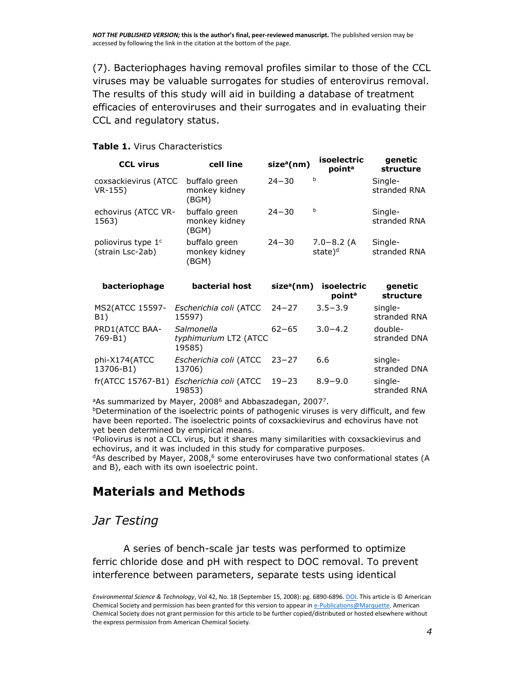[\(7\).](javascript:void(0);) Bacteriophages having removal profiles similar to those of the CCL viruses may be valuable surrogates for studies of enterovirus removal. The results of this study will aid in building a database of treatment efficacies of enteroviruses and their surrogates and in evaluating their CCL and regulatory status.

#### **Table 1.** Virus Characteristics

| <b>CCL virus</b>                                   | cell line                               | size <sup>a</sup> (nm) | <i>isoelectric</i><br>point <sup>a</sup> | genetic<br>structure    |
|----------------------------------------------------|-----------------------------------------|------------------------|------------------------------------------|-------------------------|
| coxsackievirus (ATCC<br>$VR-155)$                  | buffalo green<br>monkey kidney<br>(BGM) | $24 - 30$              | b                                        | Single-<br>stranded RNA |
| echovirus (ATCC VR-<br>1563)                       | buffalo green<br>monkey kidney<br>(BGM) | $24 - 30$              | b                                        | Single-<br>stranded RNA |
| poliovirus type 1 <sup>c</sup><br>(strain Lsc-2ab) | buffalo green<br>monkey kidney<br>(BGM) | $24 - 30$              | $7.0 - 8.2$ (A<br>state) <sup>d</sup>    | Single-<br>stranded RNA |
| bacteriophage                                      | bacterial host                          | size <sup>a</sup> (nm) | isoelectric<br>nointª                    | genetic<br>ctructure    |

|                            |                                                          |           | point <sup>a</sup> | structure               |
|----------------------------|----------------------------------------------------------|-----------|--------------------|-------------------------|
| B1)                        | MS2(ATCC 15597- Escherichia coli (ATCC 24-27<br>15597)   |           | $3.5 - 3.9$        | single-<br>stranded RNA |
| PRD1(ATCC BAA-<br>769-B1)  | Salmonella<br>typhimurium LT2 (ATCC<br>19585)            | $62 - 65$ | $3.0 - 4.2$        | double-<br>stranded DNA |
| phi-X174(ATCC<br>13706-B1) | Escherichia coli (ATCC 23-27<br>13706)                   |           | 6.6                | single-<br>stranded DNA |
|                            | fr(ATCC 15767-B1) Escherichia coli (ATCC 19-23<br>19853) |           | $8.9 - 9.0$        | single-<br>stranded RNA |

<sup>a</sup>As summarized by Mayer, 2008<sup>[6](javascript:void(0);)</sup> and Abbaszadegan, 200[7](javascript:void(0);)<sup>7</sup>.

**bDetermination of the isoelectric points of pathogenic viruses is very difficult, and few** have been reported. The isoelectric points of coxsackievirus and echovirus have not yet been determined by empirical means.

<sup>c</sup>Poliovirus is not a CCL virus, but it shares many similarities with coxsackievirus and echovirus, and it was included in this study for comparative purposes.

 $d$ As described by Mayer, 2008,<sup>[6](javascript:void(0);)</sup> some enteroviruses have two conformational states (A and B), each with its own isoelectric point.

## **Materials and Methods**

## *Jar Testing*

A series of bench-scale jar tests was performed to optimize ferric chloride dose and pH with respect to DOC removal. To prevent interference between parameters, separate tests using identical

*Environmental Science & Technology*, Vol 42, No. 18 (September 15, 2008): pg. 6890-6896. [DOI.](http://dx.doi.org/10.1021/es801481s) This article is © American Chemical Society and permission has been granted for this version to appear i[n e-Publications@Marquette.](http://epublications.marquette.edu/) American Chemical Society does not grant permission for this article to be further copied/distributed or hosted elsewhere without the express permission from American Chemical Society.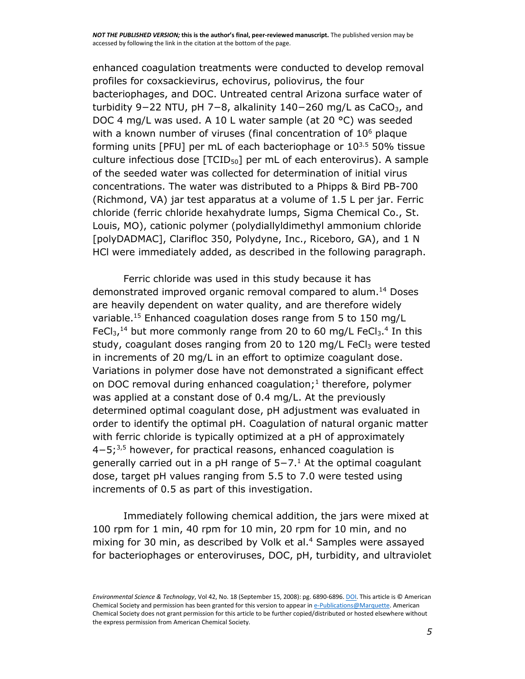enhanced coagulation treatments were conducted to develop removal profiles for coxsackievirus, echovirus, poliovirus, the four bacteriophages, and DOC. Untreated central Arizona surface water of turbidity 9−22 NTU, pH 7−8, alkalinity 140−260 mg/L as CaCO<sub>3</sub>, and DOC 4 mg/L was used. A 10 L water sample (at 20 °C) was seeded with a known number of viruses (final concentration of  $10<sup>6</sup>$  plaque forming units [PFU] per mL of each bacteriophage or  $10^{3.5}$  50% tissue culture infectious dose  $[TCID<sub>50</sub>]$  per mL of each enterovirus). A sample of the seeded water was collected for determination of initial virus concentrations. The water was distributed to a Phipps & Bird PB-700 (Richmond, VA) jar test apparatus at a volume of 1.5 L per jar. Ferric chloride (ferric chloride hexahydrate lumps, Sigma Chemical Co., St. Louis, MO), cationic polymer (polydiallyldimethyl ammonium chloride [polyDADMAC], Clarifloc 350, Polydyne, Inc., Riceboro, GA), and 1 N HCl were immediately added, as described in the following paragraph.

Ferric chloride was used in this study because it has demonstrated improved organic removal compared to alum. [14](javascript:void(0);) Doses are heavily dependent on water quality, and are therefore widely variable. [15](javascript:void(0);) Enhanced coagulation doses range from 5 to 150 mg/L FeC $I_3$ ,<sup>[14](javascript:void(0);)</sup> but more commonly range from 20 to 60 mg/L FeC $I_3$ .<sup>[4](javascript:void(0);)</sup> In this study, coagulant doses ranging from 20 to 120 mg/L FeC $l_3$  were tested in increments of 20 mg/L in an effort to optimize coagulant dose. Variations in polymer dose have not demonstrated a significant effect on DOC removal during enhanced coagulation; [1](javascript:void(0);) therefore, polymer was applied at a constant dose of 0.4 mg/L. At the previously determined optimal coagulant dose, pH adjustment was evaluated in order to identify the optimal pH. Coagulation of natural organic matter with ferric chloride is typically optimized at a pH of approximately 4−5; [3,5](javascript:void(0);) however, for practical reasons, enhanced coagulation is generally carried out in a pH range of 5−7[.](javascript:void(0);)<sup>1</sup> At the optimal coagulant dose, target pH values ranging from 5.5 to 7.0 were tested using increments of 0.5 as part of this investigation.

Immediately following chemical addition, the jars were mixed at 100 rpm for 1 min, 40 rpm for 10 min, 20 rpm for 10 min, and no mixing for 30 min, as described by Volk et al.<sup>[4](javascript:void(0);)</sup> Samples were assayed for bacteriophages or enteroviruses, DOC, pH, turbidity, and ultraviolet

*Environmental Science & Technology*, Vol 42, No. 18 (September 15, 2008): pg. 6890-6896. [DOI.](http://dx.doi.org/10.1021/es801481s) This article is © American Chemical Society and permission has been granted for this version to appear i[n e-Publications@Marquette.](http://epublications.marquette.edu/) American Chemical Society does not grant permission for this article to be further copied/distributed or hosted elsewhere without the express permission from American Chemical Society.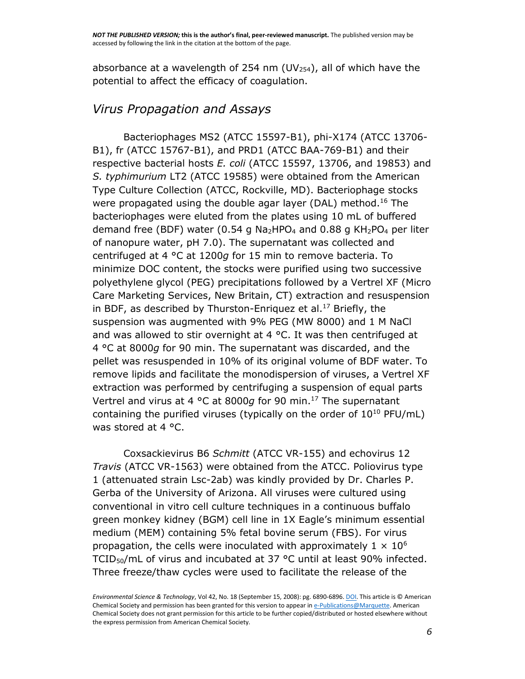absorbance at a wavelength of 254 nm (UV $_{254}$ ), all of which have the potential to affect the efficacy of coagulation.

## *Virus Propagation and Assays*

Bacteriophages MS2 (ATCC 15597-B1), phi-X174 (ATCC 13706- B1), fr (ATCC 15767-B1), and PRD1 (ATCC BAA-769-B1) and their respective bacterial hosts *E. coli* (ATCC 15597, 13706, and 19853) and *S. typhimurium* LT2 (ATCC 19585) were obtained from the American Type Culture Collection (ATCC, Rockville, MD). Bacteriophage stocks were propagated using the double agar layer (DAL) method. [16](javascript:void(0);) The bacteriophages were eluted from the plates using 10 mL of buffered demand free (BDF) water (0.54 g Na<sub>2</sub>HPO<sub>4</sub> and 0.88 g KH<sub>2</sub>PO<sub>4</sub> per liter of nanopure water, pH 7.0). The supernatant was collected and centrifuged at 4 °C at 1200*g* for 15 min to remove bacteria. To minimize DOC content, the stocks were purified using two successive polyethylene glycol (PEG) precipitations followed by a Vertrel XF (Micro Care Marketing Services, New Britain, CT) extraction and resuspension in BDF, as described by Thurston-Enriquez et al.<sup>[17](javascript:void(0);)</sup> Briefly, the suspension was augmented with 9% PEG (MW 8000) and 1 M NaCl and was allowed to stir overnight at 4  $^{\circ}$ C. It was then centrifuged at 4 °C at 8000*g* for 90 min. The supernatant was discarded, and the pellet was resuspended in 10% of its original volume of BDF water. To remove lipids and facilitate the monodispersion of viruses, a Vertrel XF extraction was performed by centrifuging a suspension of equal parts Vertrel and virus at 4 °C at 8000*g* for 90 min. [17](javascript:void(0);) The supernatant containing the purified viruses (typically on the order of 10<sup>10</sup> PFU/mL) was stored at 4 °C.

Coxsackievirus B6 *Schmitt* (ATCC VR-155) and echovirus 12 *Travis* (ATCC VR-1563) were obtained from the ATCC. Poliovirus type 1 (attenuated strain Lsc-2ab) was kindly provided by Dr. Charles P. Gerba of the University of Arizona. All viruses were cultured using conventional in vitro cell culture techniques in a continuous buffalo green monkey kidney (BGM) cell line in 1X Eagle's minimum essential medium (MEM) containing 5% fetal bovine serum (FBS). For virus propagation, the cells were inoculated with approximately  $1 \times 10^6$ TCID50/mL of virus and incubated at 37 °C until at least 90% infected. Three freeze/thaw cycles were used to facilitate the release of the

*Environmental Science & Technology*, Vol 42, No. 18 (September 15, 2008): pg. 6890-6896. [DOI.](http://dx.doi.org/10.1021/es801481s) This article is © American Chemical Society and permission has been granted for this version to appear i[n e-Publications@Marquette.](http://epublications.marquette.edu/) American Chemical Society does not grant permission for this article to be further copied/distributed or hosted elsewhere without the express permission from American Chemical Society.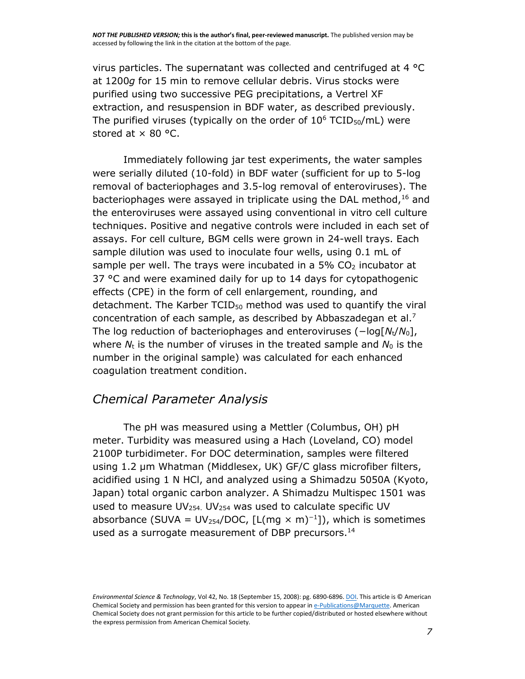virus particles. The supernatant was collected and centrifuged at 4 °C at 1200*g* for 15 min to remove cellular debris. Virus stocks were purified using two successive PEG precipitations, a Vertrel XF extraction, and resuspension in BDF water, as described previously. The purified viruses (typically on the order of  $10^6$  TCID<sub>50</sub>/mL) were stored at  $\times$  80 °C.

Immediately following jar test experiments, the water samples were serially diluted (10-fold) in BDF water (sufficient for up to 5-log removal of bacteriophages and 3.5-log removal of enteroviruses). The bacteriophages were assayed in triplicate using the DAL method, [16](javascript:void(0);) and the enteroviruses were assayed using conventional in vitro cell culture techniques. Positive and negative controls were included in each set of assays. For cell culture, BGM cells were grown in 24-well trays. Each sample dilution was used to inoculate four wells, using 0.1 mL of sample per well. The trays were incubated in a 5%  $CO<sub>2</sub>$  incubator at 37 °C and were examined daily for up to 14 days for cytopathogenic effects (CPE) in the form of cell enlargement, rounding, and detachment. The Karber  $TCID_{50}$  method was used to quantify the viral concentration of each sample, as described by Abbaszadegan et al[.](javascript:void(0);)<sup>7</sup> The log reduction of bacteriophages and enteroviruses (−log[*N*t/*N*0], where  $N_t$  is the number of viruses in the treated sample and  $N_0$  is the number in the original sample) was calculated for each enhanced coagulation treatment condition.

#### *Chemical Parameter Analysis*

The pH was measured using a Mettler (Columbus, OH) pH meter. Turbidity was measured using a Hach (Loveland, CO) model 2100P turbidimeter. For DOC determination, samples were filtered using 1.2 μm Whatman (Middlesex, UK) GF/C glass microfiber filters, acidified using 1 N HCl, and analyzed using a Shimadzu 5050A (Kyoto, Japan) total organic carbon analyzer. A Shimadzu Multispec 1501 was used to measure  $UV_{254}$ , UV<sub>254</sub> was used to calculate specific UV absorbance (SUVA = UV<sub>254</sub>/DOC, [L(mq × m)<sup>-1</sup>]), which is sometimes used as a surrogate measurement of DBP precursors. [14](javascript:void(0);)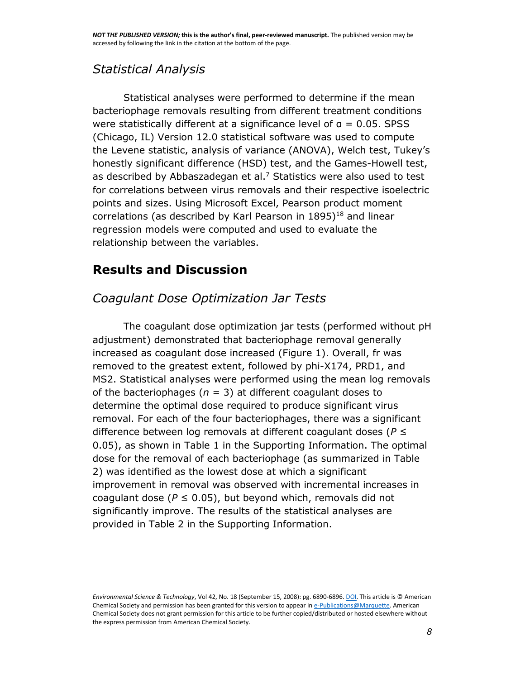## *Statistical Analysis*

Statistical analyses were performed to determine if the mean bacteriophage removals resulting from different treatment conditions were statistically different at a significance level of  $a = 0.05$ . SPSS (Chicago, IL) Version 12.0 statistical software was used to compute the Levene statistic, analysis of variance (ANOVA), Welch test, Tukey's honestly significant difference (HSD) test, and the Games-Howell test, as described by Abbaszadegan et al. $<sup>7</sup>$  $<sup>7</sup>$  $<sup>7</sup>$  Statistics were also used to test</sup> for correlations between virus removals and their respective isoelectric points and sizes. Using Microsoft Excel, Pearson product moment correlations (as described by Karl Pearson in  $1895)^{18}$  $1895)^{18}$  and linear regression models were computed and used to evaluate the relationship between the variables.

## **Results and Discussion**

## *Coagulant Dose Optimization Jar Tests*

The coagulant dose optimization jar tests (performed without pH adjustment) demonstrated that bacteriophage removal generally increased as coagulant dose increased (Figure [1\)](http://pubs.acs.org/doi/full/10.1021/es801481s#fig1). Overall, fr was removed to the greatest extent, followed by phi-X174, PRD1, and MS2. Statistical analyses were performed using the mean log removals of the bacteriophages ( $n = 3$ ) at different coagulant doses to determine the optimal dose required to produce significant virus removal. For each of the four bacteriophages, there was a significant difference between log removals at different coagulant doses (*P* ≤ 0.05), as shown in [Table 1 in the Supporting Information.](http://pubs.acs.org/doi/full/10.1021/es801481s#si1) The optimal dose for the removal of each bacteriophage (as summarized in Table [2\)](http://pubs.acs.org/doi/full/10.1021/es801481s#tbl2) was identified as the lowest dose at which a significant improvement in removal was observed with incremental increases in coagulant dose ( $P \le 0.05$ ), but beyond which, removals did not significantly improve. The results of the statistical analyses are provided in [Table 2 in the Supporting Information.](http://pubs.acs.org/doi/full/10.1021/es801481s#si1)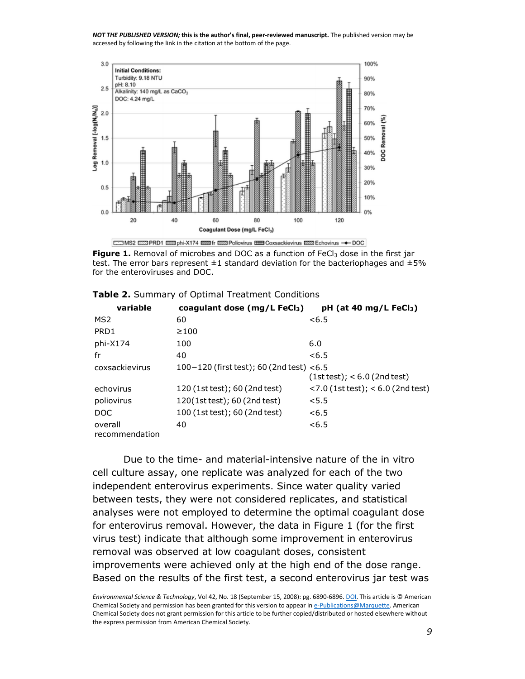

Figure 1. Removal of microbes and DOC as a function of FeCl<sub>3</sub> dose in the first jar test. The error bars represent  $\pm 1$  standard deviation for the bacteriophages and  $\pm 5\%$ for the enteroviruses and DOC.

| variable                  | coagulant dose $(mg/L \text{ FeCl}_3)$       | $pH$ (at 40 mg/L FeCl <sub>3</sub> )   |
|---------------------------|----------------------------------------------|----------------------------------------|
| MS2                       | 60                                           | < 6.5                                  |
| PRD1                      | $\geq 100$                                   |                                        |
| phi-X174                  | 100                                          | 6.0                                    |
| fr                        | 40                                           | < 6.5                                  |
| coxsackievirus            | $100 - 120$ (first test); 60 (2nd test) <6.5 | $(1st test); < 6.0$ (2nd test)         |
| echovirus                 | 120 (1st test); 60 (2nd test)                | $<$ 7.0 (1st test); $<$ 6.0 (2nd test) |
| poliovirus                | 120(1st test); 60 (2nd test)                 | < 5.5                                  |
| DOC                       | 100 (1st test); 60 (2nd test)                | < 6.5                                  |
| overall<br>recommendation | 40                                           | < 6.5                                  |

Due to the time- and material-intensive nature of the in vitro cell culture assay, one replicate was analyzed for each of the two independent enterovirus experiments. Since water quality varied between tests, they were not considered replicates, and statistical analyses were not employed to determine the optimal coagulant dose for enterovirus removal. However, the data in Figure [1](http://pubs.acs.org/doi/full/10.1021/es801481s#fig1) (for the first virus test) indicate that although some improvement in enterovirus removal was observed at low coagulant doses, consistent improvements were achieved only at the high end of the dose range. Based on the results of the first test, a second enterovirus jar test was

*Environmental Science & Technology*, Vol 42, No. 18 (September 15, 2008): pg. 6890-6896. [DOI.](http://dx.doi.org/10.1021/es801481s) This article is © American Chemical Society and permission has been granted for this version to appear i[n e-Publications@Marquette.](http://epublications.marquette.edu/) American Chemical Society does not grant permission for this article to be further copied/distributed or hosted elsewhere without the express permission from American Chemical Society.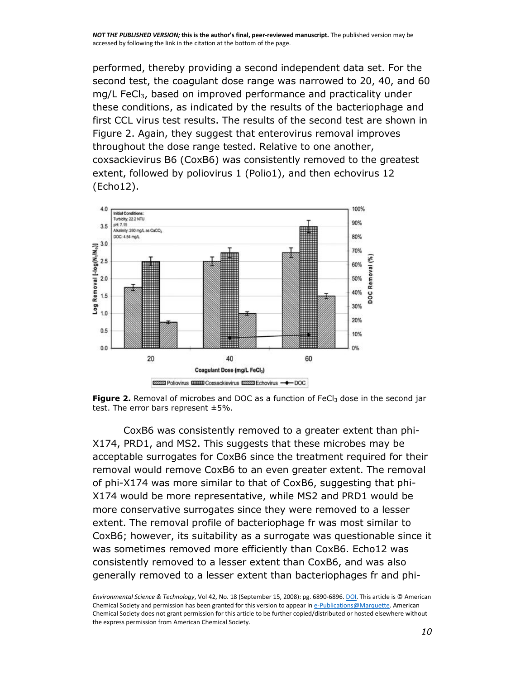performed, thereby providing a second independent data set. For the second test, the coagulant dose range was narrowed to 20, 40, and 60 mg/L FeCl<sub>3</sub>, based on improved performance and practicality under these conditions, as indicated by the results of the bacteriophage and first CCL virus test results. The results of the second test are shown in Figure [2.](http://pubs.acs.org/doi/full/10.1021/es801481s#fig2) Again, they suggest that enterovirus removal improves throughout the dose range tested. Relative to one another, coxsackievirus B6 (CoxB6) was consistently removed to the greatest extent, followed by poliovirus 1 (Polio1), and then echovirus 12 (Echo12).





CoxB6 was consistently removed to a greater extent than phi-X174, PRD1, and MS2. This suggests that these microbes may be acceptable surrogates for CoxB6 since the treatment required for their removal would remove CoxB6 to an even greater extent. The removal of phi-X174 was more similar to that of CoxB6, suggesting that phi-X174 would be more representative, while MS2 and PRD1 would be more conservative surrogates since they were removed to a lesser extent. The removal profile of bacteriophage fr was most similar to CoxB6; however, its suitability as a surrogate was questionable since it was sometimes removed more efficiently than CoxB6. Echo12 was consistently removed to a lesser extent than CoxB6, and was also generally removed to a lesser extent than bacteriophages fr and phi-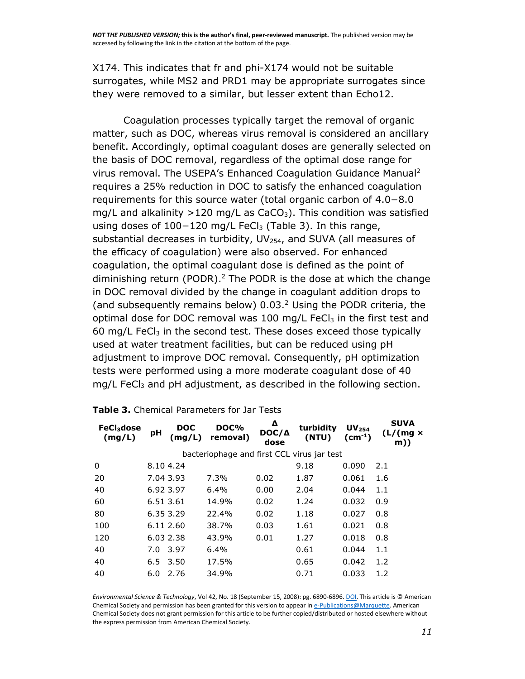X174. This indicates that fr and phi-X174 would not be suitable surrogates, while MS2 and PRD1 may be appropriate surrogates since they were removed to a similar, but lesser extent than Echo12.

Coagulation processes typically target the removal of organic matter, such as DOC, whereas virus removal is considered an ancillary benefit. Accordingly, optimal coagulant doses are generally selected on the basis of DOC removal, regardless of the optimal dose range for virus removal. The USEPA's Enhanced Coagulation Guidance Manual[2](javascript:void(0);) requires a 25% reduction in DOC to satisfy the enhanced coagulation requirements for this source water (total organic carbon of 4.0−8.0 mg/L and alkalinity  $>120$  mg/L as CaCO<sub>3</sub>). This condition was satisfied using doses of 100−120 mg/L FeCl<sub>3</sub> (Table [3\)](http://pubs.acs.org/doi/full/10.1021/es801481s#tbl3). In this range, substantial decreases in turbidity,  $UV_{254}$ , and SUVA (all measures of the efficacy of coagulation) were also observed. For enhanced coagulation, the optimal coagulant dose is defined as the point of diminishing return (PODR). [2](javascript:void(0);) The PODR is the dose at which the change in DOC removal divided by the change in coagulant addition drops to (and subsequently remains below) 0.03. [2](javascript:void(0);) Using the PODR criteria, the optimal dose for DOC removal was 100 mg/L FeC $l_3$  in the first test and 60 mg/L FeC $l_3$  in the second test. These doses exceed those typically used at water treatment facilities, but can be reduced using pH adjustment to improve DOC removal. Consequently, pH optimization tests were performed using a more moderate coagulant dose of 40  $mg/L$  FeC $l_3$  and pH adjustment, as described in the following section.

| $FeCl3$ dose<br>(mg/L)                     | pH        | DOC<br>(mg/L) | DOC%<br>removal) | Δ<br>$DOC/\Delta$<br>dose | turbidity<br>(NTU) | UV <sub>254</sub><br>$(cm-1)$ | <b>SUVA</b><br>(L/(mg x))<br>m)) |  |  |
|--------------------------------------------|-----------|---------------|------------------|---------------------------|--------------------|-------------------------------|----------------------------------|--|--|
| bacteriophage and first CCL virus jar test |           |               |                  |                           |                    |                               |                                  |  |  |
| 0                                          | 8.10 4.24 |               |                  |                           | 9.18               | 0.090                         | 2.1                              |  |  |
| 20                                         | 7.04 3.93 |               | 7.3%             | 0.02                      | 1.87               | 0.061                         | 1.6                              |  |  |
| 40                                         | 6.92 3.97 |               | $6.4\%$          | 0.00                      | 2.04               | 0.044                         | 1.1                              |  |  |
| 60                                         | 6.51 3.61 |               | 14.9%            | 0.02                      | 1.24               | 0.032                         | 0.9                              |  |  |
| 80                                         | 6.35 3.29 |               | 22.4%            | 0.02                      | 1.18               | 0.027                         | 0.8                              |  |  |
| 100                                        |           | 6.11 2.60     | 38.7%            | 0.03                      | 1.61               | 0.021                         | 0.8                              |  |  |
| 120                                        |           | 6.03 2.38     | 43.9%            | 0.01                      | 1.27               | 0.018                         | 0.8                              |  |  |
| 40                                         | 7.0       | 3.97          | 6.4%             |                           | 0.61               | 0.044                         | 1.1                              |  |  |
| 40                                         | 6.5       | 3.50          | 17.5%            |                           | 0.65               | 0.042                         | 1.2                              |  |  |
| 40                                         | 6.0       | 2.76          | 34.9%            |                           | 0.71               | 0.033                         | 1.2                              |  |  |

|  | Table 3. Chemical Parameters for Jar Tests |  |  |
|--|--------------------------------------------|--|--|
|  |                                            |  |  |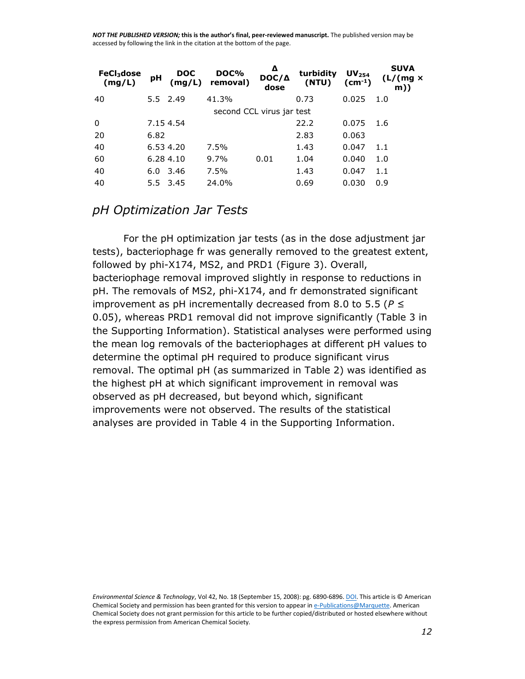| FeCl <sub>3</sub> dose<br>(mg/L) | pH   | <b>DOC</b><br>(mg/L) | DOC%<br>removal)          | Δ<br>$DOC/\Delta$<br>dose | turbidity<br>(NTU) | UV <sub>254</sub><br>$(cm-1)$ | <b>SUVA</b><br>$(L/(mg \times$<br>m) |
|----------------------------------|------|----------------------|---------------------------|---------------------------|--------------------|-------------------------------|--------------------------------------|
| 40                               |      | 5.5 2.49             | 41.3%                     |                           | 0.73               | 0.025                         | 1.0                                  |
|                                  |      |                      | second CCL virus jar test |                           |                    |                               |                                      |
| 0                                |      | 7.15 4.54            |                           |                           | 22.2               | 0.075                         | 1.6                                  |
| 20                               | 6.82 |                      |                           |                           | 2.83               | 0.063                         |                                      |
| 40                               |      | 6.53 4.20            | 7.5%                      |                           | 1.43               | 0.047                         | 1.1                                  |
| 60                               |      | 6.28 4.10            | 9.7%                      | 0.01                      | 1.04               | 0.040                         | 1.0                                  |
| 40                               |      | $6.0$ 3.46           | 7.5%                      |                           | 1.43               | 0.047                         | 1.1                                  |
| 40                               |      | 5.5 3.45             | 24.0%                     |                           | 0.69               | 0.030                         | 0.9                                  |

#### *pH Optimization Jar Tests*

For the pH optimization jar tests (as in the dose adjustment jar tests), bacteriophage fr was generally removed to the greatest extent, followed by phi-X174, MS2, and PRD1 (Figure [3\)](http://pubs.acs.org/doi/full/10.1021/es801481s#fig3). Overall, bacteriophage removal improved slightly in response to reductions in pH. The removals of MS2, phi-X174, and fr demonstrated significant improvement as pH incrementally decreased from 8.0 to 5.5 (*P* ≤ 0.05), whereas PRD1 removal did not improve significantly [\(Table 3 in](http://pubs.acs.org/doi/full/10.1021/es801481s#si1)  [the Supporting Information\)](http://pubs.acs.org/doi/full/10.1021/es801481s#si1). Statistical analyses were performed using the mean log removals of the bacteriophages at different pH values to determine the optimal pH required to produce significant virus removal. The optimal pH (as summarized in Table [2\)](http://pubs.acs.org/doi/full/10.1021/es801481s#tbl2) was identified as the highest pH at which significant improvement in removal was observed as pH decreased, but beyond which, significant improvements were not observed. The results of the statistical analyses are provided in [Table 4 in the Supporting Information.](http://pubs.acs.org/doi/full/10.1021/es801481s#si1)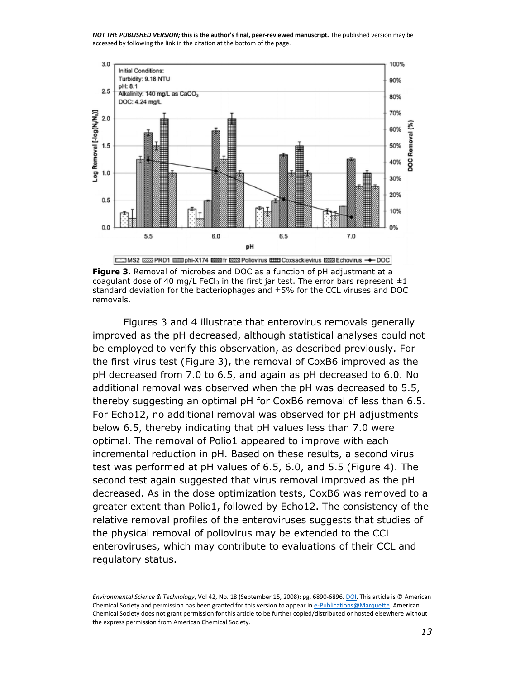

**Figure 3.** Removal of microbes and DOC as a function of pH adjustment at a coagulant dose of 40 mg/L FeCl<sub>3</sub> in the first jar test. The error bars represent  $\pm 1$ standard deviation for the bacteriophages and ±5% for the CCL viruses and DOC removals.

Figures [3](http://pubs.acs.org/doi/full/10.1021/es801481s#fig3) and [4](http://pubs.acs.org/doi/full/10.1021/es801481s#fig4) illustrate that enterovirus removals generally improved as the pH decreased, although statistical analyses could not be employed to verify this observation, as described previously. For the first virus test (Figure [3\)](http://pubs.acs.org/doi/full/10.1021/es801481s#fig3), the removal of CoxB6 improved as the pH decreased from 7.0 to 6.5, and again as pH decreased to 6.0. No additional removal was observed when the pH was decreased to 5.5, thereby suggesting an optimal pH for CoxB6 removal of less than 6.5. For Echo12, no additional removal was observed for pH adjustments below 6.5, thereby indicating that pH values less than 7.0 were optimal. The removal of Polio1 appeared to improve with each incremental reduction in pH. Based on these results, a second virus test was performed at pH values of 6.5, 6.0, and 5.5 (Figure [4\)](http://pubs.acs.org/doi/full/10.1021/es801481s#fig4). The second test again suggested that virus removal improved as the pH decreased. As in the dose optimization tests, CoxB6 was removed to a greater extent than Polio1, followed by Echo12. The consistency of the relative removal profiles of the enteroviruses suggests that studies of the physical removal of poliovirus may be extended to the CCL enteroviruses, which may contribute to evaluations of their CCL and regulatory status.

*Environmental Science & Technology*, Vol 42, No. 18 (September 15, 2008): pg. 6890-6896. [DOI.](http://dx.doi.org/10.1021/es801481s) This article is © American Chemical Society and permission has been granted for this version to appear i[n e-Publications@Marquette.](http://epublications.marquette.edu/) American Chemical Society does not grant permission for this article to be further copied/distributed or hosted elsewhere without the express permission from American Chemical Society.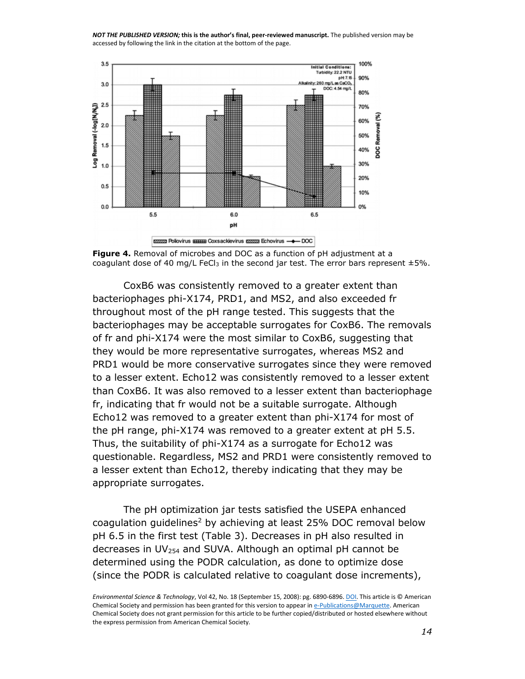



CoxB6 was consistently removed to a greater extent than bacteriophages phi-X174, PRD1, and MS2, and also exceeded fr throughout most of the pH range tested. This suggests that the bacteriophages may be acceptable surrogates for CoxB6. The removals of fr and phi-X174 were the most similar to CoxB6, suggesting that they would be more representative surrogates, whereas MS2 and PRD1 would be more conservative surrogates since they were removed to a lesser extent. Echo12 was consistently removed to a lesser extent than CoxB6. It was also removed to a lesser extent than bacteriophage fr, indicating that fr would not be a suitable surrogate. Although Echo12 was removed to a greater extent than phi-X174 for most of the pH range, phi-X174 was removed to a greater extent at pH 5.5. Thus, the suitability of phi-X174 as a surrogate for Echo12 was questionable. Regardless, MS2 and PRD1 were consistently removed to a lesser extent than Echo12, thereby indicating that they may be appropriate surrogates.

The pH optimization jar tests satisfied the USEPA enhanced coagulation guidelines<sup>[2](javascript:void(0);)</sup> by achieving at least 25% DOC removal below pH 6.5 in the first test (Table [3\)](http://pubs.acs.org/doi/full/10.1021/es801481s#tbl3). Decreases in pH also resulted in decreases in  $UV_{254}$  and SUVA. Although an optimal pH cannot be determined using the PODR calculation, as done to optimize dose (since the PODR is calculated relative to coagulant dose increments),

*Environmental Science & Technology*, Vol 42, No. 18 (September 15, 2008): pg. 6890-6896. [DOI.](http://dx.doi.org/10.1021/es801481s) This article is © American Chemical Society and permission has been granted for this version to appear i[n e-Publications@Marquette.](http://epublications.marquette.edu/) American Chemical Society does not grant permission for this article to be further copied/distributed or hosted elsewhere without the express permission from American Chemical Society.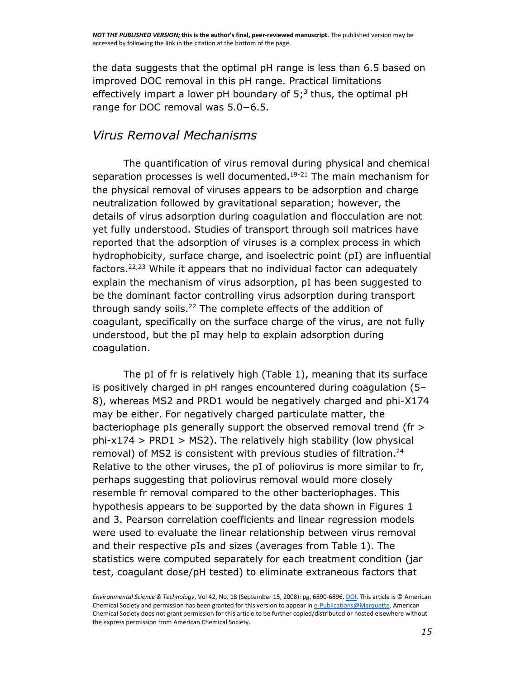the data suggests that the optimal pH range is less than 6.5 based on improved DOC removal in this pH range. Practical limitations effectively impart a lower pH boundary of  $5<sup>3</sup>$  $5<sup>3</sup>$  $5<sup>3</sup>$  thus, the optimal pH range for DOC removal was 5.0−6.5.

#### *Virus Removal Mechanisms*

The quantification of virus removal during physical and chemical separation processes is well documented.<sup>[19-21](javascript:void(0);)</sup> The main mechanism for the physical removal of viruses appears to be adsorption and charge neutralization followed by gravitational separation; however, the details of virus adsorption during coagulation and flocculation are not yet fully understood. Studies of transport through soil matrices have reported that the adsorption of viruses is a complex process in which hydrophobicity, surface charge, and isoelectric point (pI) are influential factors.<sup>[22,23](javascript:void(0);)</sup> While it appears that no individual factor can adequately explain the mechanism of virus adsorption, pI has been suggested to be the dominant factor controlling virus adsorption during transport through sandy soils.<sup>[22](javascript:void(0);)</sup> The complete effects of the addition of coagulant, specifically on the surface charge of the virus, are not fully understood, but the pI may help to explain adsorption during coagulation.

The pI of fr is relatively high (Table [1\)](http://pubs.acs.org/doi/full/10.1021/es801481s#tbl1), meaning that its surface is positively charged in pH ranges encountered during coagulation (5– 8), whereas MS2 and PRD1 would be negatively charged and phi-X174 may be either. For negatively charged particulate matter, the bacteriophage pIs generally support the observed removal trend (fr >  $phi-x174$  > PRD1 > MS2). The relatively high stability (low physical removal) of MS2 is consistent with previous studies of filtration.<sup>[24](javascript:void(0);)</sup> Relative to the other viruses, the pI of poliovirus is more similar to fr, perhaps suggesting that poliovirus removal would more closely resemble fr removal compared to the other bacteriophages. This hypothesis appears to be supported by the data shown in Figures [1](http://pubs.acs.org/doi/full/10.1021/es801481s#fig1) and [3.](http://pubs.acs.org/doi/full/10.1021/es801481s#fig3) Pearson correlation coefficients and linear regression models were used to evaluate the linear relationship between virus removal and their respective pIs and sizes (averages from Table [1\)](http://pubs.acs.org/doi/full/10.1021/es801481s#tbl1). The statistics were computed separately for each treatment condition (jar test, coagulant dose/pH tested) to eliminate extraneous factors that

*Environmental Science & Technology*, Vol 42, No. 18 (September 15, 2008): pg. 6890-6896. [DOI.](http://dx.doi.org/10.1021/es801481s) This article is © American Chemical Society and permission has been granted for this version to appear i[n e-Publications@Marquette.](http://epublications.marquette.edu/) American Chemical Society does not grant permission for this article to be further copied/distributed or hosted elsewhere without the express permission from American Chemical Society.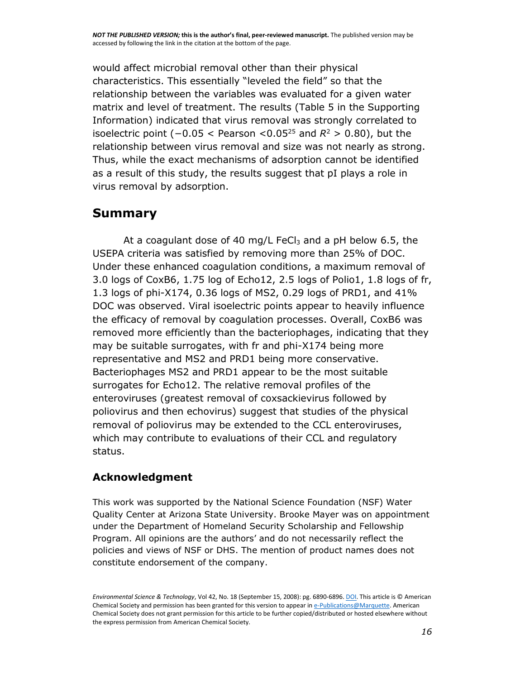would affect microbial removal other than their physical characteristics. This essentially "leveled the field" so that the relationship between the variables was evaluated for a given water matrix and level of treatment. The results [\(Table 5 in the Supporting](http://pubs.acs.org/doi/full/10.1021/es801481s#si1)  [Information\)](http://pubs.acs.org/doi/full/10.1021/es801481s#si1) indicated that virus removal was strongly correlated to isoelectric point  $(-0.05 <$  Pearson  $<$ 0.05<sup>[25](javascript:void(0);)</sup> and  $R$ <sup>2</sup> > 0.80), but the relationship between virus removal and size was not nearly as strong. Thus, while the exact mechanisms of adsorption cannot be identified as a result of this study, the results suggest that pI plays a role in virus removal by adsorption.

## **Summary**

At a coagulant dose of 40 mg/L FeCl $_3$  and a pH below 6.5, the USEPA criteria was satisfied by removing more than 25% of DOC. Under these enhanced coagulation conditions, a maximum removal of 3.0 logs of CoxB6, 1.75 log of Echo12, 2.5 logs of Polio1, 1.8 logs of fr, 1.3 logs of phi-X174, 0.36 logs of MS2, 0.29 logs of PRD1, and 41% DOC was observed. Viral isoelectric points appear to heavily influence the efficacy of removal by coagulation processes. Overall, CoxB6 was removed more efficiently than the bacteriophages, indicating that they may be suitable surrogates, with fr and phi-X174 being more representative and MS2 and PRD1 being more conservative. Bacteriophages MS2 and PRD1 appear to be the most suitable surrogates for Echo12. The relative removal profiles of the enteroviruses (greatest removal of coxsackievirus followed by poliovirus and then echovirus) suggest that studies of the physical removal of poliovirus may be extended to the CCL enteroviruses, which may contribute to evaluations of their CCL and regulatory status.

#### **Acknowledgment**

This work was supported by the National Science Foundation (NSF) Water Quality Center at Arizona State University. Brooke Mayer was on appointment under the Department of Homeland Security Scholarship and Fellowship Program. All opinions are the authors' and do not necessarily reflect the policies and views of NSF or DHS. The mention of product names does not constitute endorsement of the company.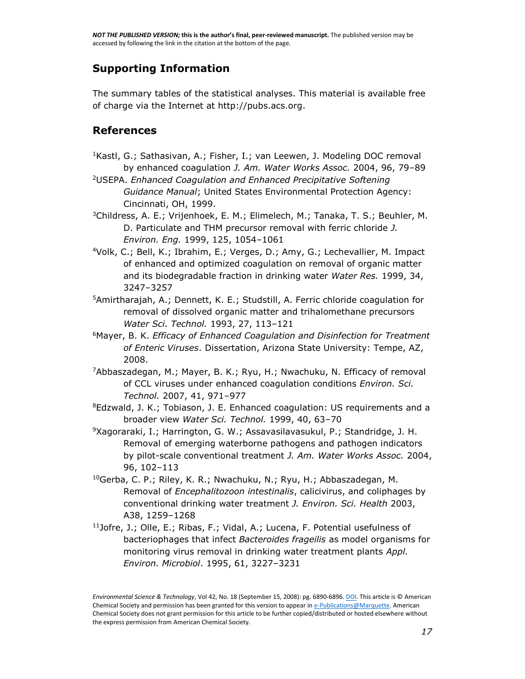#### **[Supporting Information](http://pubs.acs.org/doi/suppl/10.1021/es801481s)**

The summary tables of the statistical analyses. This material is available free of charge via the Internet at [http://pubs.acs.org.](http://pubs.acs.org/)

#### **References**

- $1$ Kastl, G.; Sathasivan, A.; Fisher, I.; van Leewen, J. Modeling DOC removal by enhanced coagulation *J. Am. Water Works Assoc.* 2004, 96, 79–89
- [2](javascript:void(0);)USEPA. *Enhanced Coagulation and Enhanced Precipitative Softening Guidance Manual*; United States Environmental Protection Agency: Cincinnati, OH, 1999.
- [3](javascript:void(0);)Childress, A. E.; Vrijenhoek, E. M.; Elimelech, M.; Tanaka, T. S.; Beuhler, M. D. Particulate and THM precursor removal with ferric chloride *J. Environ. Eng.* 1999, 125, 1054–1061
- [4](javascript:void(0);)Volk, C.; Bell, K.; Ibrahim, E.; Verges, D.; Amy, G.; Lechevallier, M. Impact of enhanced and optimized coagulation on removal of organic matter and its biodegradable fraction in drinking water *Water Res.* 1999, 34, 3247–3257
- [5](javascript:void(0);)Amirtharajah, A.; Dennett, K. E.; Studstill, A. Ferric chloride coagulation for removal of dissolved organic matter and trihalomethane precursors *Water Sci. Technol.* 1993, 27, 113–121
- [6](javascript:void(0);)Mayer, B. K. *Efficacy of Enhanced Coagulation and Disinfection for Treatment of Enteric Viruses*. Dissertation, Arizona State University: Tempe, AZ, 2008.
- [7](javascript:void(0);)Abbaszadegan, M.; Mayer, B. K.; Ryu, H.; Nwachuku, N. Efficacy of removal of CCL viruses under enhanced coagulation conditions *Environ. Sci. Technol.* 2007, 41, 971–977
- ${}^{8}$  ${}^{8}$  ${}^{8}$ Edzwald, J. K.; Tobiason, J. E. Enhanced coagulation: US requirements and a broader view *Water Sci. Technol.* 1999, 40, 63–70
- $9Xaq$  $9Xaq$ oraraki, I.; Harrington, G. W.; Assavasilavasukul, P.; Standridge, J. H. Removal of emerging waterborne pathogens and pathogen indicators by pilot-scale conventional treatment *J. Am. Water Works Assoc.* 2004, 96, 102–113
- <sup>[10](javascript:void(0);)</sup>Gerba, C. P.; Riley, K. R.; Nwachuku, N.; Ryu, H.; Abbaszadegan, M. Removal of *Encephalitozoon intestinalis*, calicivirus, and coliphages by conventional drinking water treatment *J. Environ. Sci. Health* 2003, A38, 1259–1268
- $11$ Jofre, J.; Olle, E.; Ribas, F.; Vidal, A.; Lucena, F. Potential usefulness of bacteriophages that infect *Bacteroides frageilis* as model organisms for monitoring virus removal in drinking water treatment plants *Appl. Environ. Microbiol*. 1995, 61, 3227–3231

*Environmental Science & Technology*, Vol 42, No. 18 (September 15, 2008): pg. 6890-6896. [DOI.](http://dx.doi.org/10.1021/es801481s) This article is © American Chemical Society and permission has been granted for this version to appear i[n e-Publications@Marquette.](http://epublications.marquette.edu/) American Chemical Society does not grant permission for this article to be further copied/distributed or hosted elsewhere without the express permission from American Chemical Society.